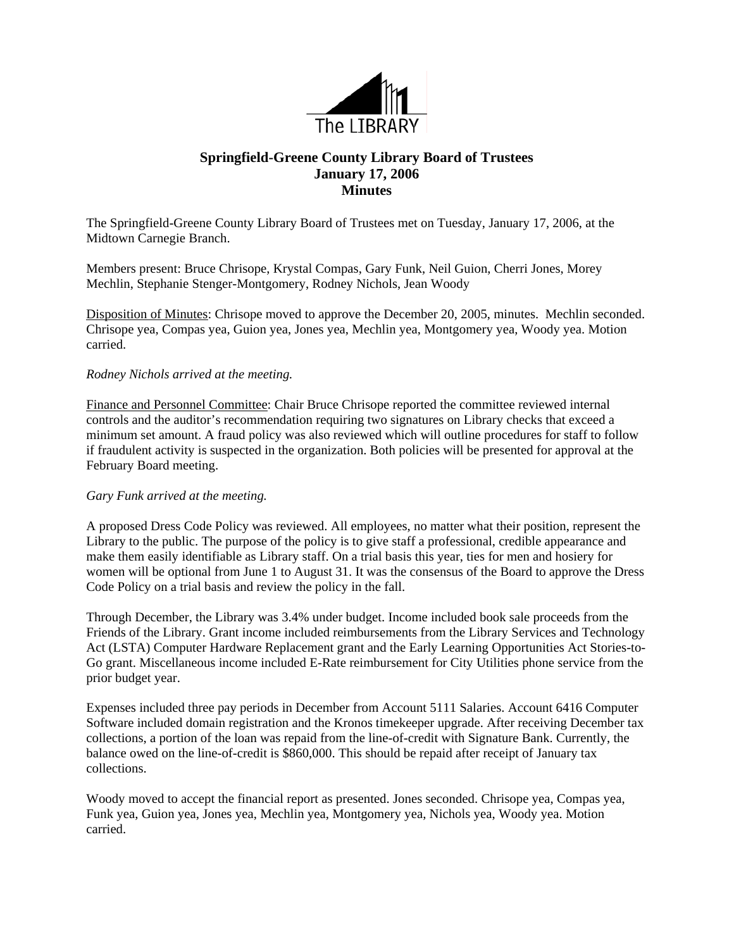

## **Springfield-Greene County Library Board of Trustees January 17, 2006 Minutes**

The Springfield-Greene County Library Board of Trustees met on Tuesday, January 17, 2006, at the Midtown Carnegie Branch.

Members present: Bruce Chrisope, Krystal Compas, Gary Funk, Neil Guion, Cherri Jones, Morey Mechlin, Stephanie Stenger-Montgomery, Rodney Nichols, Jean Woody

Disposition of Minutes: Chrisope moved to approve the December 20, 2005, minutes. Mechlin seconded. Chrisope yea, Compas yea, Guion yea, Jones yea, Mechlin yea, Montgomery yea, Woody yea. Motion carried.

## *Rodney Nichols arrived at the meeting.*

Finance and Personnel Committee: Chair Bruce Chrisope reported the committee reviewed internal controls and the auditor's recommendation requiring two signatures on Library checks that exceed a minimum set amount. A fraud policy was also reviewed which will outline procedures for staff to follow if fraudulent activity is suspected in the organization. Both policies will be presented for approval at the February Board meeting.

## *Gary Funk arrived at the meeting.*

A proposed Dress Code Policy was reviewed. All employees, no matter what their position, represent the Library to the public. The purpose of the policy is to give staff a professional, credible appearance and make them easily identifiable as Library staff. On a trial basis this year, ties for men and hosiery for women will be optional from June 1 to August 31. It was the consensus of the Board to approve the Dress Code Policy on a trial basis and review the policy in the fall.

Through December, the Library was 3.4% under budget. Income included book sale proceeds from the Friends of the Library. Grant income included reimbursements from the Library Services and Technology Act (LSTA) Computer Hardware Replacement grant and the Early Learning Opportunities Act Stories-to-Go grant. Miscellaneous income included E-Rate reimbursement for City Utilities phone service from the prior budget year.

Expenses included three pay periods in December from Account 5111 Salaries. Account 6416 Computer Software included domain registration and the Kronos timekeeper upgrade. After receiving December tax collections, a portion of the loan was repaid from the line-of-credit with Signature Bank. Currently, the balance owed on the line-of-credit is \$860,000. This should be repaid after receipt of January tax collections.

Woody moved to accept the financial report as presented. Jones seconded. Chrisope yea, Compas yea, Funk yea, Guion yea, Jones yea, Mechlin yea, Montgomery yea, Nichols yea, Woody yea. Motion carried.